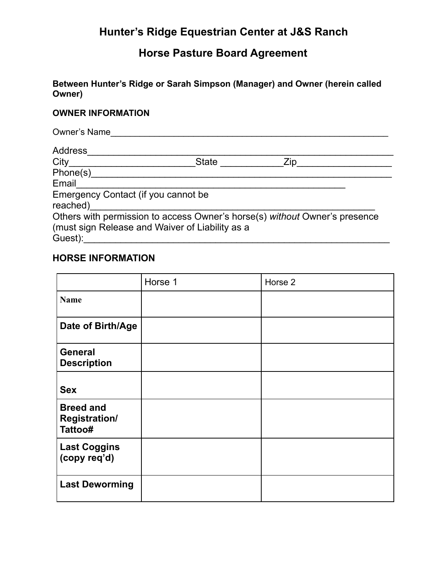### **Horse Pasture Board Agreement**

**Between Hunter's Ridge or Sarah Simpson (Manager) and Owner (herein called Owner)**

#### **OWNER INFORMATION**

| Owner's Name                        |                                                                            |     |  |
|-------------------------------------|----------------------------------------------------------------------------|-----|--|
| Address                             |                                                                            |     |  |
| City _________________________      | State                                                                      | Zip |  |
| Phone(s) Phone                      |                                                                            |     |  |
| Email                               |                                                                            |     |  |
| Emergency Contact (if you cannot be |                                                                            |     |  |
| reached) and the control            |                                                                            |     |  |
|                                     | Others with permission to access Owner's horse(s) without Owner's presence |     |  |
|                                     | (must sign Release and Waiver of Liability as a                            |     |  |
| Guest):                             |                                                                            |     |  |

#### **HORSE INFORMATION**

|                                                     | Horse 1 | Horse 2 |
|-----------------------------------------------------|---------|---------|
| <b>Name</b>                                         |         |         |
| Date of Birth/Age                                   |         |         |
| <b>General</b><br><b>Description</b>                |         |         |
| <b>Sex</b>                                          |         |         |
| <b>Breed and</b><br><b>Registration/</b><br>Tattoo# |         |         |
| <b>Last Coggins</b><br>(copy req'd)                 |         |         |
| <b>Last Deworming</b>                               |         |         |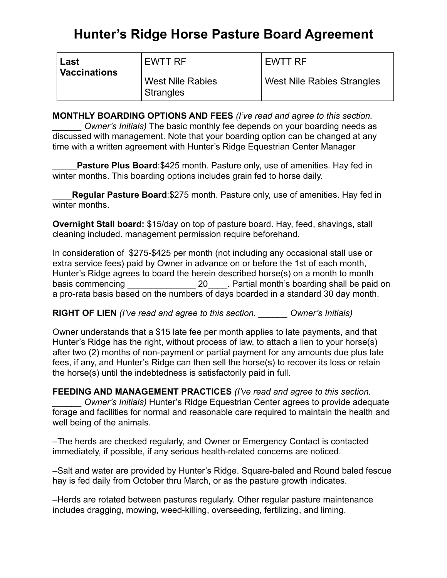# **Hunter's Ridge Horse Pasture Board Agreement**

| Last         | EWTT RF                                     | <b>EWTT RF</b>                    |
|--------------|---------------------------------------------|-----------------------------------|
| Vaccinations | <b>West Nile Rabies</b><br><b>Strangles</b> | <b>West Nile Rabies Strangles</b> |

**MONTHLY BOARDING OPTIONS AND FEES** *(I've read and agree to this section. Owner's Initials)* The basic monthly fee depends on your boarding needs as discussed with management. Note that your boarding option can be changed at any time with a written agreement with Hunter's Ridge Equestrian Center Manager

**Pasture Plus Board:**\$425 month. Pasture only, use of amenities. Hay fed in winter months. This boarding options includes grain fed to horse daily.

\_\_\_\_**Regular Pasture Board**:\$275 month. Pasture only, use of amenities. Hay fed in winter months.

**Overnight Stall board:** \$15/day on top of pasture board. Hay, feed, shavings, stall cleaning included. management permission require beforehand.

In consideration of \$275-\$425 per month (not including any occasional stall use or extra service fees) paid by Owner in advance on or before the 1st of each month, Hunter's Ridge agrees to board the herein described horse(s) on a month to month basis commencing equal to basis commencing the state of  $20$  . Partial month's boarding shall be paid on a pro-rata basis based on the numbers of days boarded in a standard 30 day month.

**RIGHT OF LIEN** *(I've read and agree to this section. \_\_\_\_\_\_ Owner's Initials)* 

Owner understands that a \$15 late fee per month applies to late payments, and that Hunter's Ridge has the right, without process of law, to attach a lien to your horse(s) after two (2) months of non-payment or partial payment for any amounts due plus late fees, if any, and Hunter's Ridge can then sell the horse(s) to recover its loss or retain the horse(s) until the indebtedness is satisfactorily paid in full.

**FEEDING AND MANAGEMENT PRACTICES** *(I've read and agree to this section. Owner's Initials) Hunter's Ridge Equestrian Center agrees to provide adequate* forage and facilities for normal and reasonable care required to maintain the health and well being of the animals.

–The herds are checked regularly, and Owner or Emergency Contact is contacted immediately, if possible, if any serious health-related concerns are noticed.

–Salt and water are provided by Hunter's Ridge. Square-baled and Round baled fescue hay is fed daily from October thru March, or as the pasture growth indicates.

–Herds are rotated between pastures regularly. Other regular pasture maintenance includes dragging, mowing, weed-killing, overseeding, fertilizing, and liming.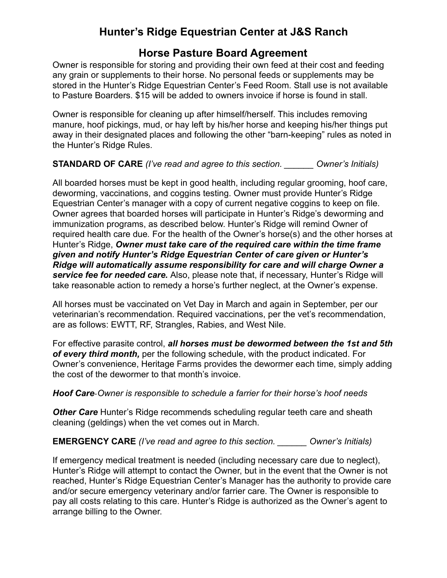### **Horse Pasture Board Agreement**

Owner is responsible for storing and providing their own feed at their cost and feeding any grain or supplements to their horse. No personal feeds or supplements may be stored in the Hunter's Ridge Equestrian Center's Feed Room. Stall use is not available to Pasture Boarders. \$15 will be added to owners invoice if horse is found in stall.

Owner is responsible for cleaning up after himself/herself. This includes removing manure, hoof pickings, mud, or hay left by his/her horse and keeping his/her things put away in their designated places and following the other "barn-keeping" rules as noted in the Hunter's Ridge Rules.

#### **STANDARD OF CARE** *(I've read and agree to this section. \_\_\_\_\_\_ Owner's Initials)*

All boarded horses must be kept in good health, including regular grooming, hoof care, deworming, vaccinations, and coggins testing. Owner must provide Hunter's Ridge Equestrian Center's manager with a copy of current negative coggins to keep on file. Owner agrees that boarded horses will participate in Hunter's Ridge's deworming and immunization programs, as described below. Hunter's Ridge will remind Owner of required health care due*.* For the health of the Owner's horse(s) and the other horses at Hunter's Ridge, *Owner must take care of the required care within the time frame given and notify Hunter's Ridge Equestrian Center of care given or Hunter's Ridge will automatically assume responsibility for care and will charge Owner a service fee for needed care.* Also, please note that, if necessary, Hunter's Ridge will take reasonable action to remedy a horse's further neglect, at the Owner's expense.

All horses must be vaccinated on Vet Day in March and again in September, per our veterinarian's recommendation. Required vaccinations, per the vet's recommendation, are as follows: EWTT, RF, Strangles, Rabies, and West Nile.

For effective parasite control, *all horses must be dewormed between the 1st and 5th of every third month,* per the following schedule, with the product indicated. For Owner's convenience, Heritage Farms provides the dewormer each time, simply adding the cost of the dewormer to that month's invoice.

#### *Hoof Care*-*Owner is responsible to schedule a farrier for their horse's hoof needs*

**Other Care** Hunter's Ridge recommends scheduling regular teeth care and sheath cleaning (geldings) when the vet comes out in March.

**EMERGENCY CARE** *(I've read and agree to this section. \_\_\_\_\_\_ Owner's Initials)* 

If emergency medical treatment is needed (including necessary care due to neglect), Hunter's Ridge will attempt to contact the Owner, but in the event that the Owner is not reached, Hunter's Ridge Equestrian Center's Manager has the authority to provide care and/or secure emergency veterinary and/or farrier care. The Owner is responsible to pay all costs relating to this care. Hunter's Ridge is authorized as the Owner's agent to arrange billing to the Owner.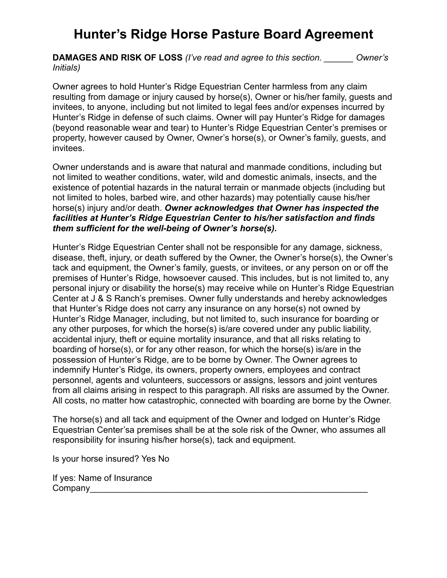## **Hunter's Ridge Horse Pasture Board Agreement**

**DAMAGES AND RISK OF LOSS** *(I've read and agree to this section. \_\_\_\_\_\_ Owner's Initials)* 

Owner agrees to hold Hunter's Ridge Equestrian Center harmless from any claim resulting from damage or injury caused by horse(s), Owner or his/her family, guests and invitees, to anyone, including but not limited to legal fees and/or expenses incurred by Hunter's Ridge in defense of such claims. Owner will pay Hunter's Ridge for damages (beyond reasonable wear and tear) to Hunter's Ridge Equestrian Center's premises or property, however caused by Owner, Owner's horse(s), or Owner's family, guests, and invitees.

Owner understands and is aware that natural and manmade conditions, including but not limited to weather conditions, water, wild and domestic animals, insects, and the existence of potential hazards in the natural terrain or manmade objects (including but not limited to holes, barbed wire, and other hazards) may potentially cause his/her horse(s) injury and/or death. *Owner acknowledges that Owner has inspected the facilities at Hunter's Ridge Equestrian Center to his/her satisfaction and finds them sufficient for the well-being of Owner's horse(s).*

Hunter's Ridge Equestrian Center shall not be responsible for any damage, sickness, disease, theft, injury, or death suffered by the Owner, the Owner's horse(s), the Owner's tack and equipment, the Owner's family, guests, or invitees, or any person on or off the premises of Hunter's Ridge, howsoever caused. This includes, but is not limited to, any personal injury or disability the horse(s) may receive while on Hunter's Ridge Equestrian Center at J & S Ranch's premises. Owner fully understands and hereby acknowledges that Hunter's Ridge does not carry any insurance on any horse(s) not owned by Hunter's Ridge Manager, including, but not limited to, such insurance for boarding or any other purposes, for which the horse(s) is/are covered under any public liability, accidental injury, theft or equine mortality insurance, and that all risks relating to boarding of horse(s), or for any other reason, for which the horse(s) is/are in the possession of Hunter's Ridge, are to be borne by Owner. The Owner agrees to indemnify Hunter's Ridge, its owners, property owners, employees and contract personnel, agents and volunteers, successors or assigns, lessors and joint ventures from all claims arising in respect to this paragraph. All risks are assumed by the Owner. All costs, no matter how catastrophic, connected with boarding are borne by the Owner.

The horse(s) and all tack and equipment of the Owner and lodged on Hunter's Ridge Equestrian Center'sa premises shall be at the sole risk of the Owner, who assumes all responsibility for insuring his/her horse(s), tack and equipment.

Is your horse insured? Yes No

If yes: Name of Insurance Company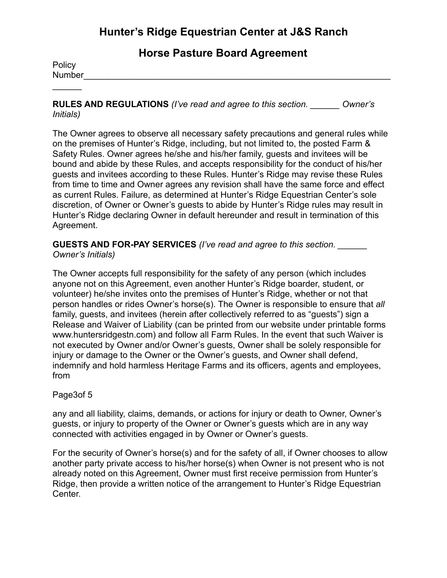**Horse Pasture Board Agreement**

**Policy** Number\_\_\_\_\_\_\_\_\_\_\_\_\_\_\_\_\_\_\_\_\_\_\_\_\_\_\_\_\_\_\_\_\_\_\_\_\_\_\_\_\_\_\_\_\_\_\_\_\_\_\_\_\_\_\_\_\_\_\_\_\_\_\_

 $\frac{1}{2}$ 

**RULES AND REGULATIONS** *(I've read and agree to this section. \_\_\_\_\_\_ Owner's Initials)* 

The Owner agrees to observe all necessary safety precautions and general rules while on the premises of Hunter's Ridge, including, but not limited to, the posted Farm & Safety Rules. Owner agrees he/she and his/her family, guests and invitees will be bound and abide by these Rules, and accepts responsibility for the conduct of his/her guests and invitees according to these Rules. Hunter's Ridge may revise these Rules from time to time and Owner agrees any revision shall have the same force and effect as current Rules. Failure, as determined at Hunter's Ridge Equestrian Center's sole discretion, of Owner or Owner's guests to abide by Hunter's Ridge rules may result in Hunter's Ridge declaring Owner in default hereunder and result in termination of this Agreement.

**GUESTS AND FOR-PAY SERVICES** *(I've read and agree to this section. \_\_\_\_\_\_ Owner's Initials)* 

The Owner accepts full responsibility for the safety of any person (which includes anyone not on this Agreement, even another Hunter's Ridge boarder, student, or volunteer) he/she invites onto the premises of Hunter's Ridge, whether or not that person handles or rides Owner's horse(s). The Owner is responsible to ensure that *all*  family, guests, and invitees (herein after collectively referred to as "guests") sign a Release and Waiver of Liability (can be printed from our website under printable forms www.huntersridgestn.com) and follow all Farm Rules. In the event that such Waiver is not executed by Owner and/or Owner's guests, Owner shall be solely responsible for injury or damage to the Owner or the Owner's guests, and Owner shall defend, indemnify and hold harmless Heritage Farms and its officers, agents and employees, from

#### Page3of 5

any and all liability, claims, demands, or actions for injury or death to Owner, Owner's guests, or injury to property of the Owner or Owner's guests which are in any way connected with activities engaged in by Owner or Owner's guests.

For the security of Owner's horse(s) and for the safety of all, if Owner chooses to allow another party private access to his/her horse(s) when Owner is not present who is not already noted on this Agreement, Owner must first receive permission from Hunter's Ridge, then provide a written notice of the arrangement to Hunter's Ridge Equestrian Center.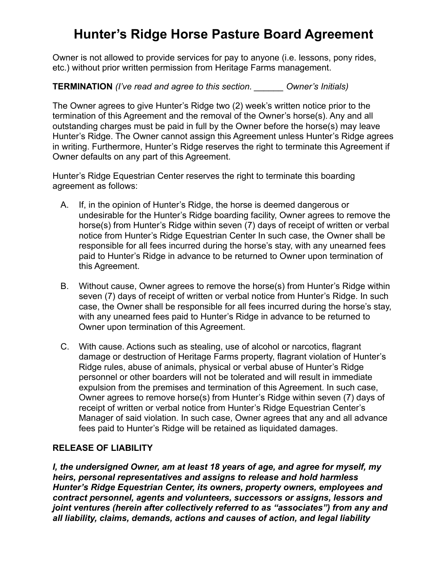## **Hunter's Ridge Horse Pasture Board Agreement**

Owner is not allowed to provide services for pay to anyone (i.e. lessons, pony rides, etc.) without prior written permission from Heritage Farms management.

**TERMINATION** *(I've read and agree to this section. \_\_\_\_\_\_ Owner's Initials)* 

The Owner agrees to give Hunter's Ridge two (2) week's written notice prior to the termination of this Agreement and the removal of the Owner's horse(s). Any and all outstanding charges must be paid in full by the Owner before the horse(s) may leave Hunter's Ridge. The Owner cannot assign this Agreement unless Hunter's Ridge agrees in writing. Furthermore, Hunter's Ridge reserves the right to terminate this Agreement if Owner defaults on any part of this Agreement.

Hunter's Ridge Equestrian Center reserves the right to terminate this boarding agreement as follows:

- A. If, in the opinion of Hunter's Ridge, the horse is deemed dangerous or undesirable for the Hunter's Ridge boarding facility, Owner agrees to remove the horse(s) from Hunter's Ridge within seven (7) days of receipt of written or verbal notice from Hunter's Ridge Equestrian Center In such case, the Owner shall be responsible for all fees incurred during the horse's stay, with any unearned fees paid to Hunter's Ridge in advance to be returned to Owner upon termination of this Agreement.
- B. Without cause, Owner agrees to remove the horse(s) from Hunter's Ridge within seven (7) days of receipt of written or verbal notice from Hunter's Ridge. In such case, the Owner shall be responsible for all fees incurred during the horse's stay, with any unearned fees paid to Hunter's Ridge in advance to be returned to Owner upon termination of this Agreement.
- C. With cause. Actions such as stealing, use of alcohol or narcotics, flagrant damage or destruction of Heritage Farms property, flagrant violation of Hunter's Ridge rules, abuse of animals, physical or verbal abuse of Hunter's Ridge personnel or other boarders will not be tolerated and will result in immediate expulsion from the premises and termination of this Agreement. In such case, Owner agrees to remove horse(s) from Hunter's Ridge within seven (7) days of receipt of written or verbal notice from Hunter's Ridge Equestrian Center's Manager of said violation. In such case, Owner agrees that any and all advance fees paid to Hunter's Ridge will be retained as liquidated damages.

#### **RELEASE OF LIABILITY**

*I, the undersigned Owner, am at least 18 years of age, and agree for myself, my heirs, personal representatives and assigns to release and hold harmless Hunter's Ridge Equestrian Center, its owners, property owners, employees and contract personnel, agents and volunteers, successors or assigns, lessors and joint ventures (herein after collectively referred to as "associates") from any and all liability, claims, demands, actions and causes of action, and legal liability*